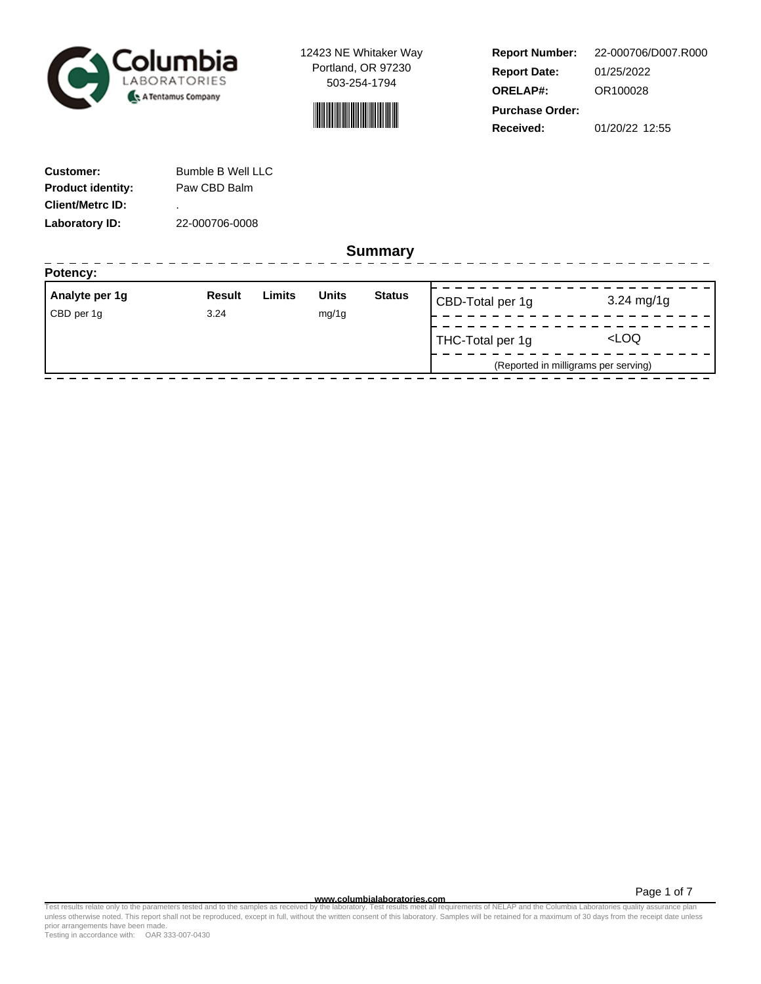



**Report Number: Report Date: ORELAP#:** 01/25/2022 OR100028 **Received:** 01/20/22 12:55 **Purchase Order:** 22-000706/D007.R000

------------------

| <b>Customer:</b>         | <b>Bumble B Well LLC</b> |
|--------------------------|--------------------------|
| <b>Product identity:</b> | Paw CBD Balm             |
| <b>Client/Metrc ID:</b>  | ٠                        |
| Laboratory ID:           | 22-000706-0008           |

. . . . . . . . . . . . . . . . . .

**Summary**

| Potency:       |               |        |              |               |                  |                                      |
|----------------|---------------|--------|--------------|---------------|------------------|--------------------------------------|
| Analyte per 1g | <b>Result</b> | Limits | <b>Units</b> | <b>Status</b> | CBD-Total per 1g | $3.24 \text{ mg}/1g$                 |
| CBD per 1g     | 3.24          |        | mg/1g        |               |                  |                                      |
|                |               |        |              |               | THC-Total per 1g | <loq< td=""></loq<>                  |
|                |               |        |              |               |                  | (Reported in milligrams per serving) |
|                |               |        |              |               |                  |                                      |

Page 1 of 7

www.columbialaboratories.com<br>Test results relate only to the parameters tested and to the samples as received by the laboratories metall requirements of NELAP and the Columbia Laboratories quality assurance plan<br>unless oth prior arrangements have been made.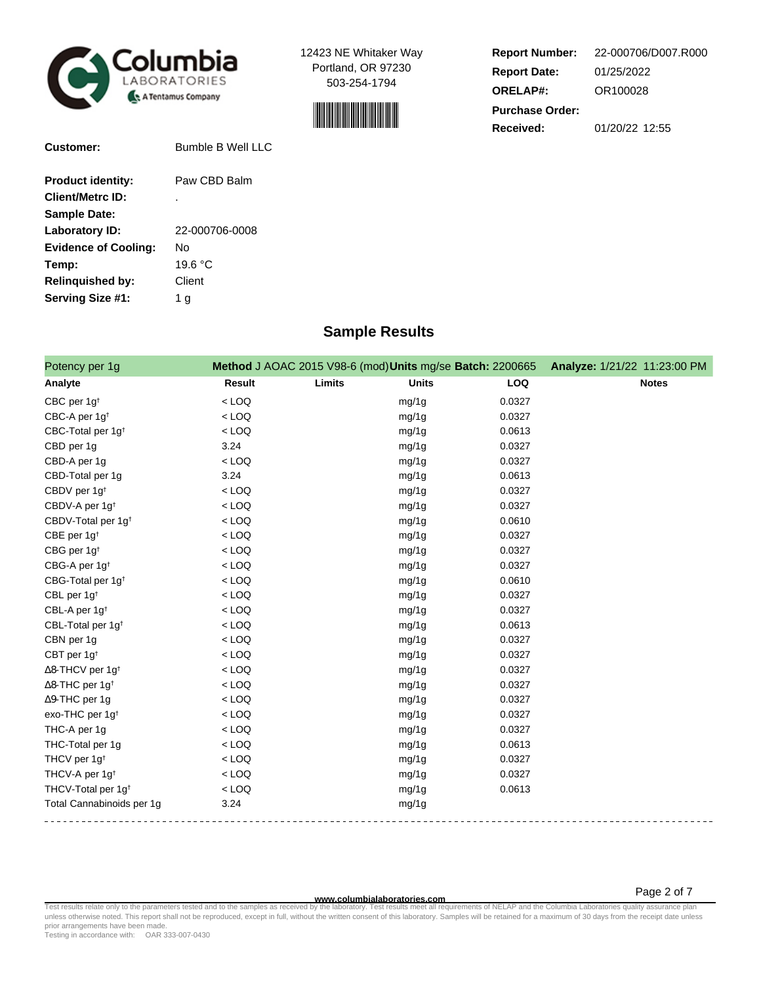



| <b>Report Number:</b>  | 22-000706/D007.R000 |  |  |  |  |
|------------------------|---------------------|--|--|--|--|
| <b>Report Date:</b>    | 01/25/2022          |  |  |  |  |
| <b>ORELAP#:</b>        | OR100028            |  |  |  |  |
| <b>Purchase Order:</b> |                     |  |  |  |  |
| Received:              | 01/20/22 12:55      |  |  |  |  |

| Bumble B Well LLC |
|-------------------|
| Paw CBD Balm      |
| ٠                 |
|                   |
| 22-000706-0008    |
| Nο                |
| 19.6 °C           |
| Client            |
| 1 g               |
|                   |

# **Sample Results**

| Potency per 1g                      |               | Method J AOAC 2015 V98-6 (mod) Units mg/se Batch: 2200665 |            | Analyze: 1/21/22 11:23:00 PM |
|-------------------------------------|---------------|-----------------------------------------------------------|------------|------------------------------|
| Analyte                             | <b>Result</b> | Limits<br><b>Units</b>                                    | <b>LOQ</b> | <b>Notes</b>                 |
| CBC per 1g <sup>t</sup>             | $<$ LOQ       | mg/1g                                                     | 0.0327     |                              |
| CBC-A per 1g <sup>t</sup>           | $<$ LOQ       | mg/1g                                                     | 0.0327     |                              |
| CBC-Total per 1g <sup>t</sup>       | $<$ LOQ       | mg/1g                                                     | 0.0613     |                              |
| CBD per 1g                          | 3.24          | mg/1g                                                     | 0.0327     |                              |
| CBD-A per 1g                        | $<$ LOQ       | mg/1g                                                     | 0.0327     |                              |
| CBD-Total per 1g                    | 3.24          | mg/1g                                                     | 0.0613     |                              |
| CBDV per 1g <sup>t</sup>            | $<$ LOQ       | mg/1g                                                     | 0.0327     |                              |
| CBDV-A per 1g <sup>t</sup>          | $<$ LOQ       | mg/1g                                                     | 0.0327     |                              |
| CBDV-Total per 1g <sup>+</sup>      | $<$ LOQ       | mg/1g                                                     | 0.0610     |                              |
| CBE per 1g <sup>t</sup>             | $<$ LOQ       | mg/1g                                                     | 0.0327     |                              |
| CBG per 1g <sup>t</sup>             | $<$ LOQ       | mg/1g                                                     | 0.0327     |                              |
| CBG-A per 1g <sup>t</sup>           | $<$ LOQ       | mg/1g                                                     | 0.0327     |                              |
| CBG-Total per 1g <sup>t</sup>       | $<$ LOQ       | mg/1g                                                     | 0.0610     |                              |
| CBL per 1g <sup>t</sup>             | $<$ LOQ       | mg/1g                                                     | 0.0327     |                              |
| CBL-A per 1g <sup>t</sup>           | $<$ LOQ       | mg/1g                                                     | 0.0327     |                              |
| CBL-Total per 1g <sup>t</sup>       | $<$ LOQ       | mg/1g                                                     | 0.0613     |                              |
| CBN per 1g                          | $<$ LOQ       | mg/1g                                                     | 0.0327     |                              |
| CBT per 1g <sup>t</sup>             | $<$ LOQ       | mg/1g                                                     | 0.0327     |                              |
| $\Delta$ 8-THCV per 1g <sup>+</sup> | $<$ LOQ       | mg/1g                                                     | 0.0327     |                              |
| $\Delta$ 8-THC per 1g <sup>t</sup>  | $<$ LOQ       | mg/1g                                                     | 0.0327     |                              |
| ∆9-THC per 1g                       | $<$ LOQ       | mg/1g                                                     | 0.0327     |                              |
| exo-THC per 1g <sup>t</sup>         | $<$ LOQ       | mg/1g                                                     | 0.0327     |                              |
| THC-A per 1g                        | $<$ LOQ       | mg/1g                                                     | 0.0327     |                              |
| THC-Total per 1g                    | $<$ LOQ       | mg/1g                                                     | 0.0613     |                              |
| THCV per 1g <sup>t</sup>            | $<$ LOQ       | mg/1g                                                     | 0.0327     |                              |
| THCV-A per 1g <sup>t</sup>          | $<$ LOQ       | mg/1g                                                     | 0.0327     |                              |
| THCV-Total per 1g <sup>t</sup>      | $<$ LOQ       | mg/1g                                                     | 0.0613     |                              |
| Total Cannabinoids per 1g           | 3.24          | mg/1g                                                     |            |                              |

**WWW.columbialaboratories.com**<br>unless otherwise noted. This report shall not be reproduced, except in full, without the written consent of this laboratory. Samples will be retained for a maximum of 30 days from the receipt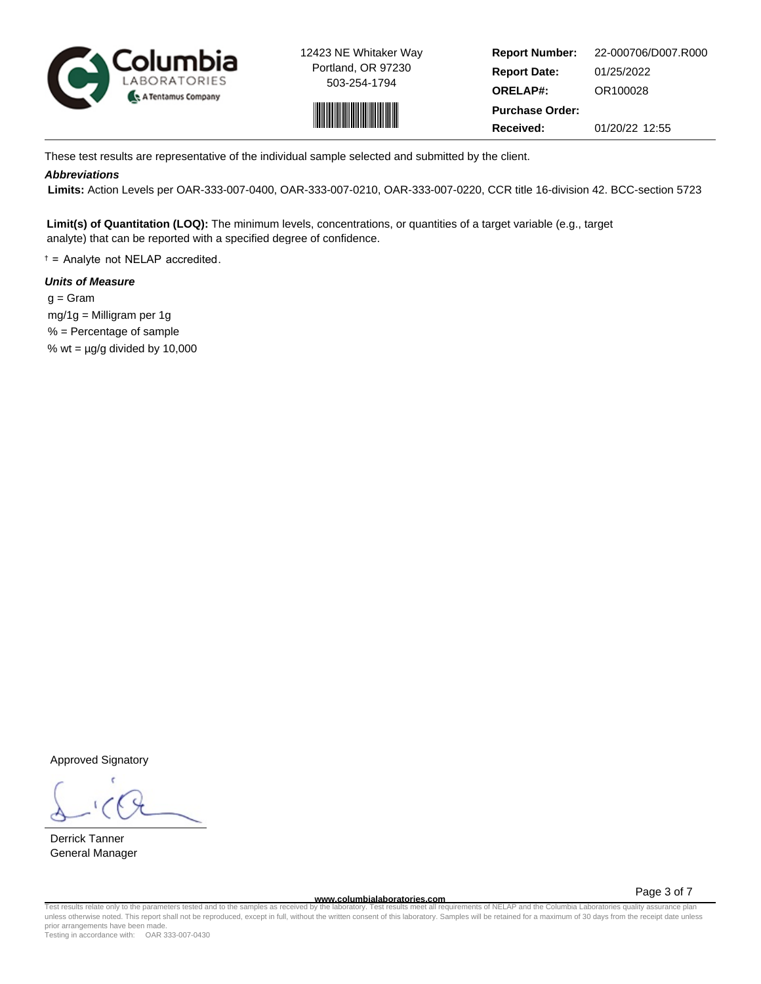



**Report Number: Report Date: ORELAP#:** 01/25/2022 OR100028 **Received:** 01/20/22 12:55 **Purchase Order:** 22-000706/D007.R000

These test results are representative of the individual sample selected and submitted by the client.

# **Abbreviations**

 **Limits:** Action Levels per OAR-333-007-0400, OAR-333-007-0210, OAR-333-007-0220, CCR title 16-division 42. BCC-section 5723

**Limit(s) of Quantitation (LOQ):** The minimum levels, concentrations, or quantities of a target variable (e.g., target analyte) that can be reported with a specified degree of confidence.

† = Analyte not NELAP accredited.

## **Units of Measure**

 $q = \text{Gram}$  mg/1g = Milligram per 1g % = Percentage of sample % wt =  $\mu$ g/g divided by 10,000

Approved Signatory

Derrick Tanner General Manager

**www.columbialaboratories.com**

Page 3 of 7

Test results relate only to the parameters tested and to the samples as received by the laboratory. Test results meet all requirements of NELAP and the Columbia Laboratories quality assurance plan<br>unless otherwise noted. T prior arrangements have been made.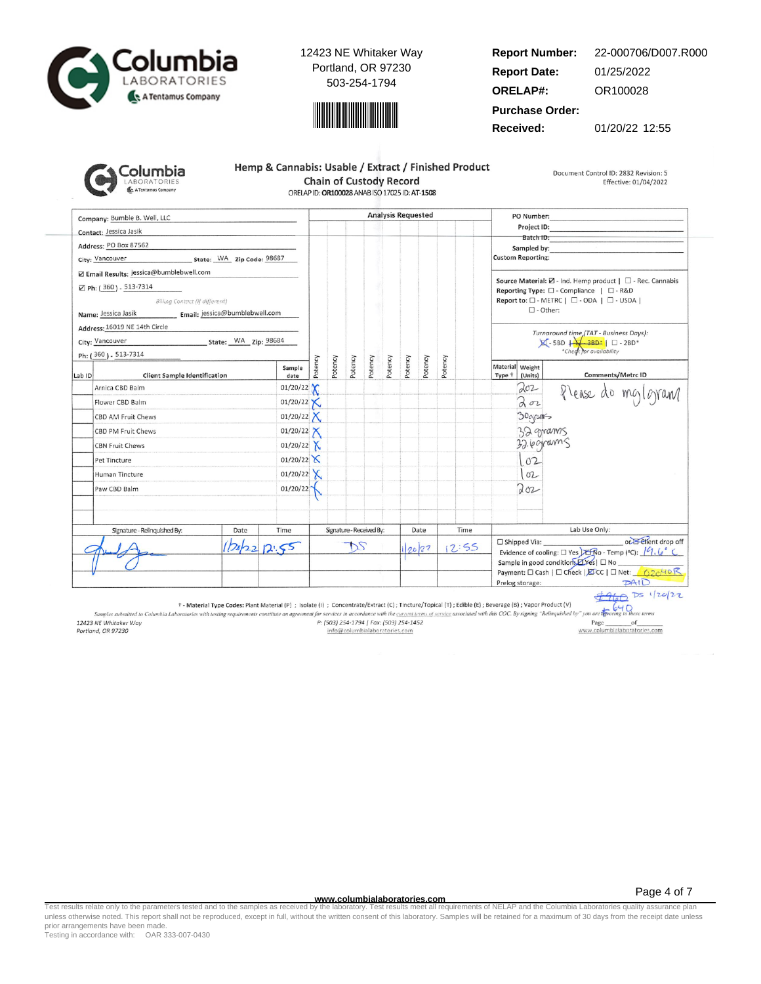



#### **Report Number: Report Date: ORELAP#:** 01/25/2022 OR100028 22-000706/D007.R000

**Purchase Order:**

**Received:** 01/20/22 12:55

| <u>iolumbia</u>                           |
|-------------------------------------------|
| <b>LABORATORIES</b><br>A Tentamus Company |

| Hemp & Cannabis: Usable / Extract / Finished Product |
|------------------------------------------------------|
| <b>Chain of Custody Record</b>                       |
| ORELAP ID: OR100028 ANAB ISO 17025 ID: AT-1508       |

Document Control ID: 2832 Revision: 5 Effective: 01/04/2022

Company: Bumble B. Well, LLC **Analysis Requested** PO Number: Project ID: Contact: Jessica Jasik Batch ID: Address: PO Box 87562 Sampled by City: Vancouver State: WA Zip Code: 98687 **Custom Reporting:** Z Email Results: jessica@bumblebwell.com Source Material:  $\boxtimes$  - Ind. Hemp product |  $\Box$  - Rec. Cannabis ⊠ Ph: (360) - 513-7314 Reporting Type:  $\square$  - Compliance |  $\square$  - R&D Billing Contact (if different) Report to: □ - METRC | □ - ODA | □ - USDA |  $\Box$  - Other: Name: Jessica Jasik Email: jessica@bumblebwell.com Address: 16019 NE 14th Circle Turnaround time (TAT - Business Days):<br> $\boxtimes$  - 5BD  $\downarrow$  - 3BD\*  $\parallel$   $\Box$  - 2BD\*<br>\*Check for availability State: WA Zip: 98684 City: Vancouver Ph: (360) - 513-7314 Potency Potency Potency Potency Potency Potency Potency Potency Material Weight Sample Comments/Metrc ID Lab ID **Client Sample Identification** date Type <sup>+</sup> (Units) 01/20/22  $202$ Arnica CBD Balm Please do mg/gram  $202$  $01/20/22$ Flower CBD Balm Х 01/20/22  $X$ 30grams CBD AM Fruit Chews  $01/20/22$ 32 grams CBD PM Fruit Chews 32.6 grams **CBN Fruit Chews** 01/20/22  $X$  $01/20/22$  $102$ Pet Tincture 01/20/22  $X$  $102$ Human Tincture Paw CBD Balm 01/20/22 Toz Signature - Relinquished By: Date Time Signature - Received By: Date Time Lab Use Only: or Elient drop off □ Shipped Via:  $12:55$  $2022$ DS  $12.55$ 20/22 Evidence of cooling:  $\square$  Yes  $\square$   $\overline{\text{R}}$  O - Temp (°C):  $\sqrt{9}$ ,  $\sqrt{9}$ Sample in good condition *LYes* | □ No Payment: □ Cash | □ Check | EDCC | □ Net: 62040 R  $PAID$ Prelog storage:

 $4960$  Ds 1/20/22  $640$ 

† - Material Type Codes: Plant Material (P) ; Isolate (i) ; Concentrate/Extract (C); Tincture/Topical (T); Edible (E); Beverage (B); Vapor Product (V)

Samples submitted to Columbia Laboratories with testing requirements constitute an agreement for services in accordance with the current terms of service associated with this COC. By signing "Relinquished by" you are the 12423 NE Whitaker Way P: (503) 254-1794 | Fax: (503) 254-1452 Page of www.columbialaboratories.com Portland, OR 97230 info@columbialaboratories.com

**www.columbialaboratories.com**

Page 4 of 7

Test results relate only to the parameters tested and to the samples as received by the laboratory. Test results meet all requirements of NELAP and the Columbia Laboratories quality assurance plan<br>unless otherwise noted. T prior arrangements have been made.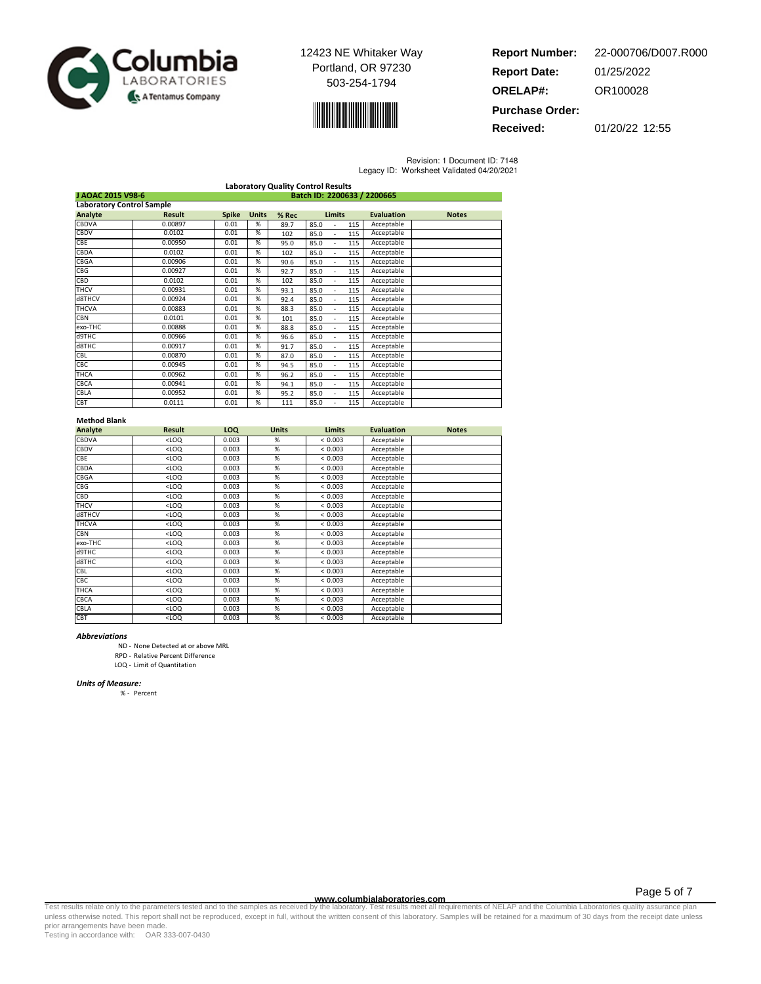



**Report Number: Report Date: ORELAP#:** 01/25/2022 OR100028 **Purchase Order:** 22-000706/D007.R000

**Received:** 01/20/22 12:55

Revision: 1 Document ID: 7148

| Legacy ID: Worksheet Validated 04/20/2021 |  |  |
|-------------------------------------------|--|--|

|                                  | <b>Laboratory Quality Control Results</b> |              |              |       |                   |                   |              |  |
|----------------------------------|-------------------------------------------|--------------|--------------|-------|-------------------|-------------------|--------------|--|
| J AOAC 2015 V98-6                | Batch ID: 2200633 / 2200665               |              |              |       |                   |                   |              |  |
| <b>Laboratory Control Sample</b> |                                           |              |              |       |                   |                   |              |  |
| Analyte                          | <b>Result</b>                             | <b>Spike</b> | <b>Units</b> | % Rec | <b>Limits</b>     | <b>Evaluation</b> | <b>Notes</b> |  |
| CBDVA                            | 0.00897                                   | 0.01         | %            | 89.7  | 85.0<br>115       | Acceptable        |              |  |
| <b>CBDV</b>                      | 0.0102                                    | 0.01         | %            | 102   | 85.0<br>115<br>ä, | Acceptable        |              |  |
| CBE                              | 0.00950                                   | 0.01         | %            | 95.0  | 85.0<br>115       | Acceptable        |              |  |
| CBDA                             | 0.0102                                    | 0.01         | %            | 102   | 85.0<br>115       | Acceptable        |              |  |
| CBGA                             | 0.00906                                   | 0.01         | %            | 90.6  | 85.0<br>115       | Acceptable        |              |  |
| CBG                              | 0.00927                                   | 0.01         | %            | 92.7  | 85.0<br>115<br>ä, | Acceptable        |              |  |
| CBD                              | 0.0102                                    | 0.01         | %            | 102   | 85.0<br>115<br>ä, | Acceptable        |              |  |
| <b>THCV</b>                      | 0.00931                                   | 0.01         | %            | 93.1  | 85.0<br>115<br>٠  | Acceptable        |              |  |
| d8THCV                           | 0.00924                                   | 0.01         | %            | 92.4  | 85.0<br>115<br>٠  | Acceptable        |              |  |
| <b>THCVA</b>                     | 0.00883                                   | 0.01         | %            | 88.3  | 85.0<br>115<br>٠  | Acceptable        |              |  |
| <b>CBN</b>                       | 0.0101                                    | 0.01         | %            | 101   | 85.0<br>115<br>÷. | Acceptable        |              |  |
| exo-THC                          | 0.00888                                   | 0.01         | %            | 88.8  | 85.0<br>115<br>٠  | Acceptable        |              |  |
| d9THC                            | 0.00966                                   | 0.01         | %            | 96.6  | 85.0<br>115<br>÷. | Acceptable        |              |  |
| d8THC                            | 0.00917                                   | 0.01         | %            | 91.7  | 85.0<br>115<br>٠  | Acceptable        |              |  |
| CBL                              | 0.00870                                   | 0.01         | %            | 87.0  | 85.0<br>115<br>٠  | Acceptable        |              |  |
| CBC                              | 0.00945                                   | 0.01         | %            | 94.5  | 85.0<br>115<br>٠  | Acceptable        |              |  |
| THCA                             | 0.00962                                   | 0.01         | %            | 96.2  | 85.0<br>115       | Acceptable        |              |  |
| CBCA                             | 0.00941                                   | 0.01         | %            | 94.1  | 85.0<br>115<br>٠  | Acceptable        |              |  |
| CBLA                             | 0.00952                                   | 0.01         | %            | 95.2  | 85.0<br>115<br>ä, | Acceptable        |              |  |
| CBT                              | 0.0111                                    | 0.01         | %            | 111   | 85.0<br>115       | Acceptable        |              |  |

### Method Blank

| Analyte      | <b>Result</b> | <b>LOQ</b> | <b>Units</b> | <b>Limits</b> | <b>Evaluation</b> | <b>Notes</b> |
|--------------|---------------|------------|--------------|---------------|-------------------|--------------|
| CBDVA        | $<$ LOQ       | 0.003      | %            | < 0.003       | Acceptable        |              |
| CBDV         | $<$ LOQ       | 0.003      | %            | < 0.003       | Acceptable        |              |
| <b>CBE</b>   | $<$ LOQ       | 0.003      | %            | < 0.003       | Acceptable        |              |
| CBDA         | $<$ LOQ       | 0.003      | %            | < 0.003       | Acceptable        |              |
| CBGA         | $<$ LOQ       | 0.003      | %            | < 0.003       | Acceptable        |              |
| CBG          | $<$ LOQ       | 0.003      | %            | < 0.003       | Acceptable        |              |
| CBD          | $<$ LOQ       | 0.003      | %            | < 0.003       | Acceptable        |              |
| <b>THCV</b>  | $<$ LOQ       | 0.003      | %            | < 0.003       | Acceptable        |              |
| d8THCV       | $<$ LOQ       | 0.003      | %            | < 0.003       | Acceptable        |              |
| <b>THCVA</b> | $<$ LOQ       | 0.003      | %            | < 0.003       | Acceptable        |              |
| CBN          | $<$ LOQ       | 0.003      | %            | < 0.003       | Acceptable        |              |
| exo-THC      | $<$ LOQ       | 0.003      | %            | < 0.003       | Acceptable        |              |
| d9THC        | $<$ LOQ       | 0.003      | %            | < 0.003       | Acceptable        |              |
| d8THC        | $<$ LOQ       | 0.003      | %            | < 0.003       | Acceptable        |              |
| CBL          | $<$ LOQ       | 0.003      | %            | < 0.003       | Acceptable        |              |
| CBC          | $<$ LOQ       | 0.003      | %            | < 0.003       | Acceptable        |              |
| THCA         | $<$ LOQ       | 0.003      | %            | < 0.003       | Acceptable        |              |
| CBCA         | $<$ LOQ       | 0.003      | %            | < 0.003       | Acceptable        |              |
| CBLA         | $<$ LOQ       | 0.003      | %            | < 0.003       | Acceptable        |              |
| CBT          | $<$ LOQ       | 0.003      | %            | < 0.003       | Acceptable        |              |

#### Abbreviations

ND - None Detected at or above MRL

RPD - Relative Percent Difference

LOQ - Limit of Quantitation

#### Units of Measure:

% - Percent

Page 5 of 7

www.columbialaboratories.com<br>Test results relate only to the parameters tested and to the samples as received by the laboratories metall requirements of NELAP and the Columbia Laboratories quality assurance plan<br>unless oth prior arrangements have been made.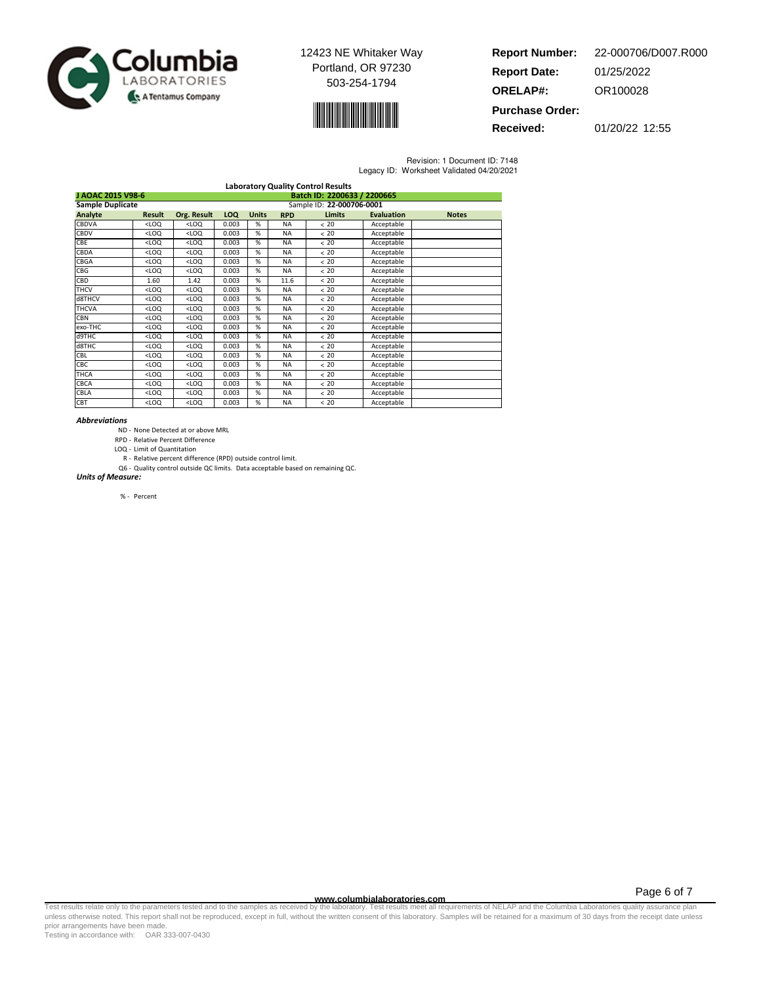



| <b>Report Number:</b>  | 22-000706/D007.R000 |
|------------------------|---------------------|
| <b>Report Date:</b>    | 01/25/2022          |
| <b>ORELAP#:</b>        | OR100028            |
| <b>Purchase Order:</b> |                     |

**Received:** 01/20/22 12:55

Revision: 1 Document ID: 7148 Legacy ID: Worksheet Validated 04/20/2021

| <b>Laboratory Quality Control Results</b> |                                                  |             |       |              |            |                           |                   |              |
|-------------------------------------------|--------------------------------------------------|-------------|-------|--------------|------------|---------------------------|-------------------|--------------|
|                                           | J AOAC 2015 V98-6<br>Batch ID: 2200633 / 2200665 |             |       |              |            |                           |                   |              |
| <b>Sample Duplicate</b>                   |                                                  |             |       |              |            | Sample ID: 22-000706-0001 |                   |              |
| Analyte                                   | <b>Result</b>                                    | Org. Result | LOQ   | <b>Units</b> | <b>RPD</b> | <b>Limits</b>             | <b>Evaluation</b> | <b>Notes</b> |
| CBDVA                                     | $<$ LOQ                                          | $<$ LOQ     | 0.003 | %            | <b>NA</b>  | < 20                      | Acceptable        |              |
| CBDV                                      | $<$ LOQ                                          | $<$ LOQ     | 0.003 | %            | <b>NA</b>  | < 20                      | Acceptable        |              |
| <b>CBE</b>                                | $<$ LOQ                                          | $<$ LOQ     | 0.003 | %            | <b>NA</b>  | < 20                      | Acceptable        |              |
| CBDA                                      | $<$ LOQ                                          | $<$ LOQ     | 0.003 | %            | <b>NA</b>  | < 20                      | Acceptable        |              |
| CBGA                                      | <1.00                                            | $<$ LOQ     | 0.003 | %            | <b>NA</b>  | <20                       | Acceptable        |              |
| CBG                                       | $<$ LOQ                                          | $<$ LOQ     | 0.003 | %            | <b>NA</b>  | < 20                      | Acceptable        |              |
| CBD                                       | 1.60                                             | 1.42        | 0.003 | %            | 11.6       | < 20                      | Acceptable        |              |
| <b>THCV</b>                               | $<$ LOQ                                          | $<$ LOQ     | 0.003 | %            | <b>NA</b>  | < 20                      | Acceptable        |              |
| d8THCV                                    | $<$ LOQ                                          | $<$ LOQ     | 0.003 | %            | <b>NA</b>  | < 20                      | Acceptable        |              |
| <b>THCVA</b>                              | $<$ LOQ                                          | $<$ LOQ     | 0.003 | %            | <b>NA</b>  | < 20                      | Acceptable        |              |
| <b>CBN</b>                                | $<$ LOQ                                          | $<$ LOQ     | 0.003 | %            | <b>NA</b>  | < 20                      | Acceptable        |              |
| exo-THC                                   | $<$ LOQ                                          | $<$ LOQ     | 0.003 | %            | <b>NA</b>  | < 20                      | Acceptable        |              |
| d9THC                                     | $<$ LOQ                                          | $<$ LOQ     | 0.003 | %            | <b>NA</b>  | < 20                      | Acceptable        |              |
| d8THC                                     | $<$ LOQ                                          | $<$ LOQ     | 0.003 | %            | <b>NA</b>  | < 20                      | Acceptable        |              |
| CBL                                       | $<$ LOQ                                          | $<$ LOQ     | 0.003 | %            | <b>NA</b>  | < 20                      | Acceptable        |              |
| <b>CBC</b>                                | $<$ LOQ                                          | $<$ LOQ     | 0.003 | %            | <b>NA</b>  | < 20                      | Acceptable        |              |
| <b>THCA</b>                               | $<$ LOQ                                          | $<$ LOQ     | 0.003 | %            | <b>NA</b>  | < 20                      | Acceptable        |              |
| CBCA                                      | $<$ LOQ                                          | $<$ LOQ     | 0.003 | %            | <b>NA</b>  | < 20                      | Acceptable        |              |
| CBLA                                      | $<$ LOQ                                          | $<$ LOQ     | 0.003 | %            | <b>NA</b>  | $< 20$                    | Acceptable        |              |
| CBT                                       | $<$ LOQ                                          | $<$ LOQ     | 0.003 | %            | <b>NA</b>  | < 20                      | Acceptable        |              |

#### Abbreviations

- ND None Detected at or above MRL
- RPD Relative Percent Difference
- LOQ Limit of Quantitation
- R Relative percent difference (RPD) outside control limit. Q6 - Quality control outside QC limits. Data acceptable based on remaining QC.

Units of Measure:

% - Percent

Page 6 of 7

www.columbialaboratories.com<br>Test results relate only to the parameters tested and to the samples as received by the laboratories metall requirements of NELAP and the Columbia Laboratories quality assurance plan<br>unless oth prior arrangements have been made.